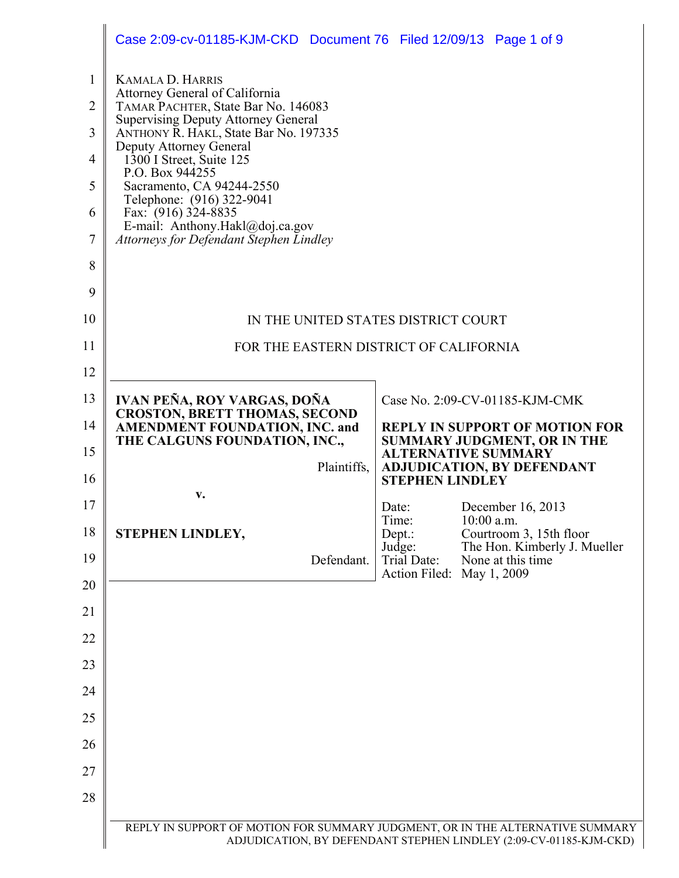|                                                    | Case 2:09-cv-01185-KJM-CKD Document 76 Filed 12/09/13 Page 1 of 9                                                                                                                                                                                                                                                                                  |                                 |              |                                                                                |
|----------------------------------------------------|----------------------------------------------------------------------------------------------------------------------------------------------------------------------------------------------------------------------------------------------------------------------------------------------------------------------------------------------------|---------------------------------|--------------|--------------------------------------------------------------------------------|
| $\mathbf{1}$<br>$\overline{2}$<br>3<br>4<br>5<br>6 | <b>KAMALA D. HARRIS</b><br>Attorney General of California<br>TAMAR PACHTER, State Bar No. 146083<br><b>Supervising Deputy Attorney General</b><br>ANTHONY R. HAKL, State Bar No. 197335<br>Deputy Attorney General<br>1300 I Street, Suite 125<br>P.O. Box 944255<br>Sacramento, CA 94244-2550<br>Telephone: (916) 322-9041<br>Fax: (916) 324-8835 |                                 |              |                                                                                |
| 7                                                  | E-mail: Anthony.Hakl@doj.ca.gov<br>Attorneys for Defendant Stephen Lindley                                                                                                                                                                                                                                                                         |                                 |              |                                                                                |
| 8                                                  |                                                                                                                                                                                                                                                                                                                                                    |                                 |              |                                                                                |
| 9                                                  |                                                                                                                                                                                                                                                                                                                                                    |                                 |              |                                                                                |
| 10                                                 | IN THE UNITED STATES DISTRICT COURT                                                                                                                                                                                                                                                                                                                |                                 |              |                                                                                |
| 11                                                 | FOR THE EASTERN DISTRICT OF CALIFORNIA                                                                                                                                                                                                                                                                                                             |                                 |              |                                                                                |
| 12                                                 |                                                                                                                                                                                                                                                                                                                                                    |                                 |              |                                                                                |
| 13                                                 | <b>IVAN PEÑA, ROY VARGAS, DOÑA</b><br><b>CROSTON, BRETT THOMAS, SECOND</b>                                                                                                                                                                                                                                                                         |                                 |              | Case No. 2:09-CV-01185-KJM-CMK                                                 |
| 14                                                 | <b>AMENDMENT FOUNDATION, INC. and</b><br>THE CALGUNS FOUNDATION, INC.,                                                                                                                                                                                                                                                                             |                                 |              | REPLY IN SUPPORT OF MOTION FOR<br><b>SUMMARY JUDGMENT, OR IN THE</b>           |
| 15<br>16                                           | Plaintiffs,                                                                                                                                                                                                                                                                                                                                        | <b>ALTERNATIVE SUMMARY</b>      |              | <b>ADJUDICATION, BY DEFENDANT</b>                                              |
| 17                                                 | V.                                                                                                                                                                                                                                                                                                                                                 | <b>STEPHEN LINDLEY</b><br>Date: |              | December 16, 2013                                                              |
| 18                                                 | STEPHEN LINDLEY,                                                                                                                                                                                                                                                                                                                                   | Time:<br>Depth:                 | $10:00$ a.m. | Courtroom 3, 15th floor                                                        |
| 19                                                 | Defendant.                                                                                                                                                                                                                                                                                                                                         | Judge:<br>Trial Date:           |              | The Hon. Kimberly J. Mueller<br>None at this time                              |
| 20                                                 |                                                                                                                                                                                                                                                                                                                                                    | Action Filed:                   |              | May 1, 2009                                                                    |
| 21                                                 |                                                                                                                                                                                                                                                                                                                                                    |                                 |              |                                                                                |
| 22                                                 |                                                                                                                                                                                                                                                                                                                                                    |                                 |              |                                                                                |
| 23                                                 |                                                                                                                                                                                                                                                                                                                                                    |                                 |              |                                                                                |
| 24                                                 |                                                                                                                                                                                                                                                                                                                                                    |                                 |              |                                                                                |
| 25                                                 |                                                                                                                                                                                                                                                                                                                                                    |                                 |              |                                                                                |
| 26                                                 |                                                                                                                                                                                                                                                                                                                                                    |                                 |              |                                                                                |
| 27                                                 |                                                                                                                                                                                                                                                                                                                                                    |                                 |              |                                                                                |
| 28                                                 |                                                                                                                                                                                                                                                                                                                                                    |                                 |              |                                                                                |
|                                                    |                                                                                                                                                                                                                                                                                                                                                    |                                 |              | REPLY IN SUPPORT OF MOTION FOR SUMMARY JUDGMENT, OR IN THE ALTERNATIVE SUMMARY |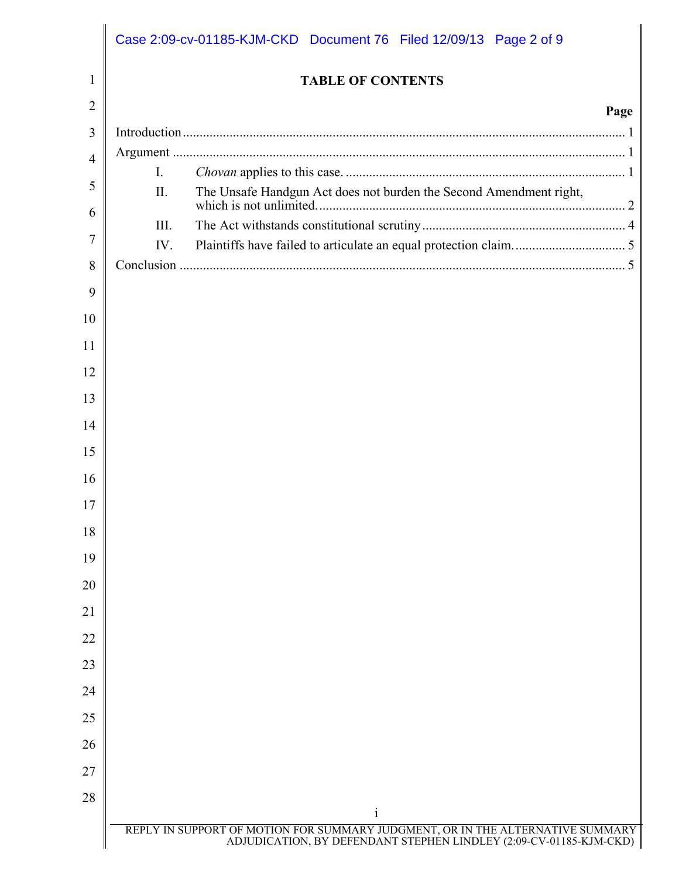|                |                | Case 2:09-cv-01185-KJM-CKD Document 76 Filed 12/09/13 Page 2 of 9                                                                                                    |  |
|----------------|----------------|----------------------------------------------------------------------------------------------------------------------------------------------------------------------|--|
| 1              |                | <b>TABLE OF CONTENTS</b>                                                                                                                                             |  |
| $\overline{2}$ |                | Page                                                                                                                                                                 |  |
| 3              |                |                                                                                                                                                                      |  |
| $\overline{4}$ |                |                                                                                                                                                                      |  |
| 5              | $\mathbf{I}$ . |                                                                                                                                                                      |  |
| 6              | II.            | The Unsafe Handgun Act does not burden the Second Amendment right,                                                                                                   |  |
| 7              | III.           |                                                                                                                                                                      |  |
| 8              | IV.            |                                                                                                                                                                      |  |
| 9              |                |                                                                                                                                                                      |  |
| 10             |                |                                                                                                                                                                      |  |
| 11             |                |                                                                                                                                                                      |  |
| 12             |                |                                                                                                                                                                      |  |
| 13             |                |                                                                                                                                                                      |  |
| 14             |                |                                                                                                                                                                      |  |
| 15             |                |                                                                                                                                                                      |  |
| 16             |                |                                                                                                                                                                      |  |
| 17             |                |                                                                                                                                                                      |  |
| 18             |                |                                                                                                                                                                      |  |
| 19             |                |                                                                                                                                                                      |  |
| 20             |                |                                                                                                                                                                      |  |
| 21             |                |                                                                                                                                                                      |  |
| 22             |                |                                                                                                                                                                      |  |
| 23             |                |                                                                                                                                                                      |  |
| 24             |                |                                                                                                                                                                      |  |
| 25             |                |                                                                                                                                                                      |  |
| 26             |                |                                                                                                                                                                      |  |
| 27             |                |                                                                                                                                                                      |  |
| 28             |                |                                                                                                                                                                      |  |
|                |                | $\mathbf{i}$<br>REPLY IN SUPPORT OF MOTION FOR SUMMARY JUDGMENT, OR IN THE ALTERNATIVE SUMMARY<br>ADJUDICATION, BY DEFENDANT STEPHEN LINDLEY (2:09-CV-01185-KJM-CKD) |  |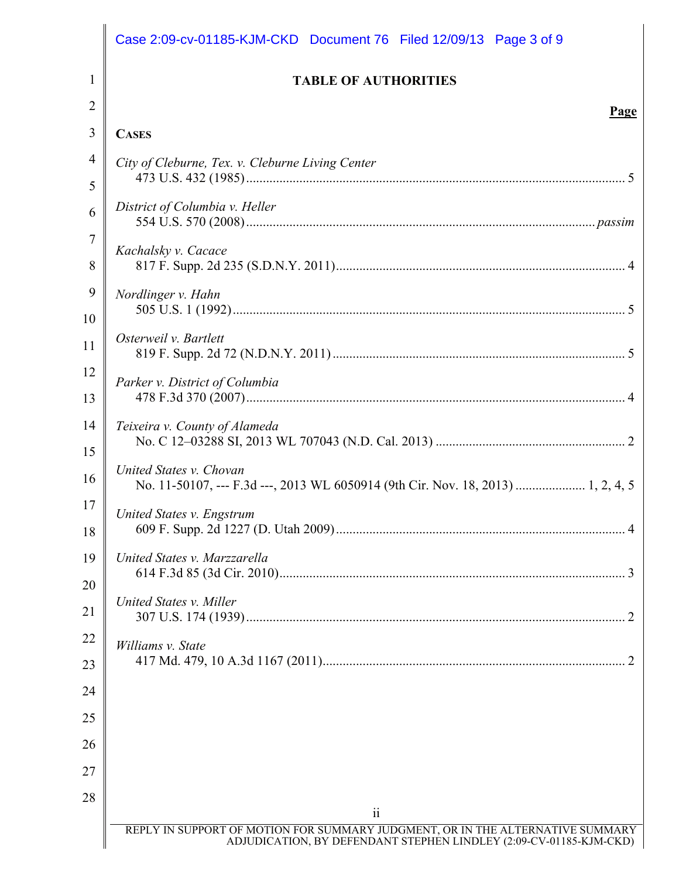|                | Case 2:09-cv-01185-KJM-CKD Document 76 Filed 12/09/13 Page 3 of 9                                                                                    |
|----------------|------------------------------------------------------------------------------------------------------------------------------------------------------|
| $\mathbf{1}$   | <b>TABLE OF AUTHORITIES</b>                                                                                                                          |
| $\overline{2}$ | Page                                                                                                                                                 |
| 3              | <b>CASES</b>                                                                                                                                         |
| 4              | City of Cleburne, Tex. v. Cleburne Living Center                                                                                                     |
| 5              |                                                                                                                                                      |
| 6              | District of Columbia v. Heller                                                                                                                       |
| $\overline{7}$ | Kachalsky v. Cacace                                                                                                                                  |
| 8              |                                                                                                                                                      |
| 9<br>10        | Nordlinger v. Hahn                                                                                                                                   |
| 11             | Osterweil v. Bartlett                                                                                                                                |
| 12<br>13       | Parker v. District of Columbia                                                                                                                       |
| 14<br>15       | Teixeira v. County of Alameda                                                                                                                        |
| 16             | United States v. Chovan<br>No. 11-50107, --- F.3d ---, 2013 WL 6050914 (9th Cir. Nov. 18, 2013)  1, 2, 4, 5                                          |
| 17<br>18       | United States v. Engstrum                                                                                                                            |
| 19<br>20       | United States v. Marzzarella                                                                                                                         |
| 21             | United States v. Miller                                                                                                                              |
| 22             | Williams v. State                                                                                                                                    |
| 23<br>24       |                                                                                                                                                      |
| 25             |                                                                                                                                                      |
| 26             |                                                                                                                                                      |
| 27             |                                                                                                                                                      |
| 28             |                                                                                                                                                      |
|                | $\overline{\mathbf{u}}$                                                                                                                              |
|                | REPLY IN SUPPORT OF MOTION FOR SUMMARY JUDGMENT, OR IN THE ALTERNATIVE SUMMARY<br>ADJUDICATION, BY DEFENDANT STEPHEN LINDLEY (2:09-CV-01185-KJM-CKD) |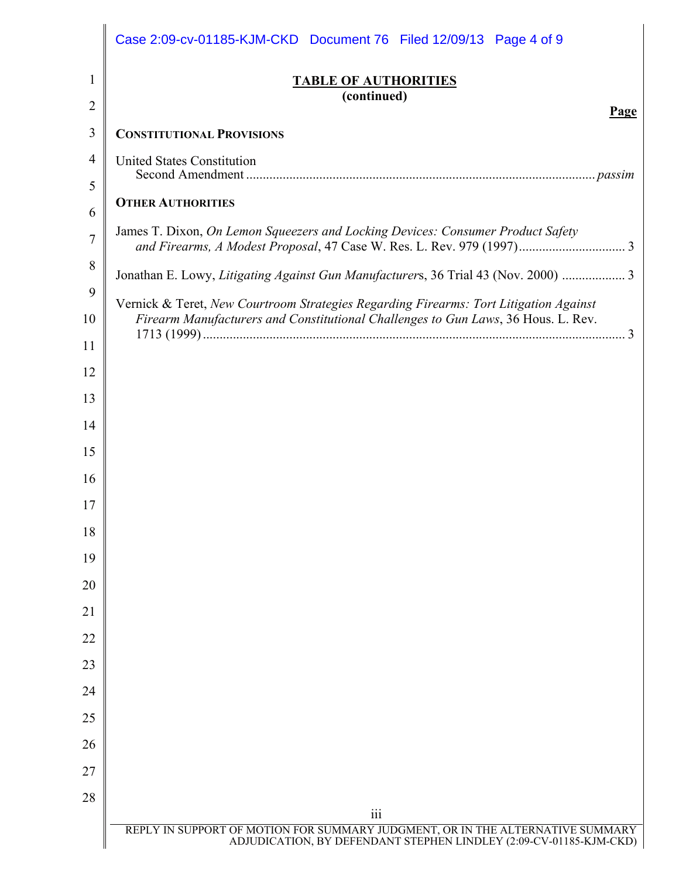|                                                                                            | <b>TABLE OF AUTHORITIES</b><br>(continued)<br>Page                                 |
|--------------------------------------------------------------------------------------------|------------------------------------------------------------------------------------|
|                                                                                            | <b>CONSTITUTIONAL PROVISIONS</b>                                                   |
|                                                                                            | <b>United States Constitution</b>                                                  |
|                                                                                            |                                                                                    |
|                                                                                            | <b>OTHER AUTHORITIES</b>                                                           |
|                                                                                            | James T. Dixon, On Lemon Squeezers and Locking Devices: Consumer Product Safety    |
|                                                                                            | Jonathan E. Lowy, Litigating Against Gun Manufacturers, 36 Trial 43 (Nov. 2000)  3 |
| 9<br>Vernick & Teret, New Courtroom Strategies Regarding Firearms: Tort Litigation Against |                                                                                    |
|                                                                                            | Firearm Manufacturers and Constitutional Challenges to Gun Laws, 36 Hous. L. Rev.  |
|                                                                                            |                                                                                    |
|                                                                                            |                                                                                    |
|                                                                                            |                                                                                    |
|                                                                                            |                                                                                    |
|                                                                                            |                                                                                    |
|                                                                                            |                                                                                    |
|                                                                                            |                                                                                    |
|                                                                                            |                                                                                    |
|                                                                                            |                                                                                    |
|                                                                                            |                                                                                    |
|                                                                                            |                                                                                    |
|                                                                                            |                                                                                    |
|                                                                                            |                                                                                    |
|                                                                                            |                                                                                    |
|                                                                                            |                                                                                    |
|                                                                                            |                                                                                    |
|                                                                                            |                                                                                    |
|                                                                                            | $\overline{\text{iii}}$                                                            |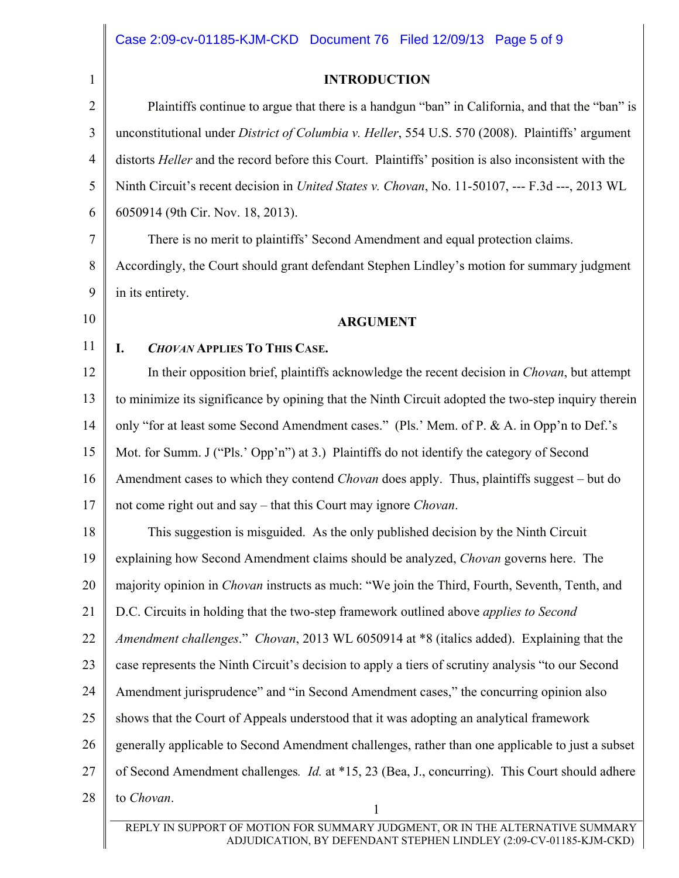**INTRODUCTION** 

| $\mathbf{1}$   | <b>INTRODUCTION</b>                                                                                         |
|----------------|-------------------------------------------------------------------------------------------------------------|
| $\overline{2}$ | Plaintiffs continue to argue that there is a handgun "ban" in California, and that the "ban" is             |
| 3              | unconstitutional under <i>District of Columbia v. Heller</i> , 554 U.S. 570 (2008). Plaintiffs' argument    |
| $\overline{4}$ | distorts <i>Heller</i> and the record before this Court. Plaintiffs' position is also inconsistent with the |
| 5              | Ninth Circuit's recent decision in <i>United States v. Chovan</i> , No. 11-50107, --- F.3d ---, 2013 WL     |
| 6              | 6050914 (9th Cir. Nov. 18, 2013).                                                                           |
| 7              | There is no merit to plaintiffs' Second Amendment and equal protection claims.                              |
| 8              | Accordingly, the Court should grant defendant Stephen Lindley's motion for summary judgment                 |
| 9              | in its entirety.                                                                                            |
| 10             | <b>ARGUMENT</b>                                                                                             |
| 11             | <b>CHOVAN APPLIES TO THIS CASE.</b><br>I.                                                                   |
| 12             | In their opposition brief, plaintiffs acknowledge the recent decision in <i>Chovan</i> , but attempt        |
| 13             | to minimize its significance by opining that the Ninth Circuit adopted the two-step inquiry therein         |
| 14             | only "for at least some Second Amendment cases." (Pls.' Mem. of P. & A. in Opp'n to Def.'s                  |
| 15             | Mot. for Summ. J ("Pls.' Opp'n") at 3.) Plaintiffs do not identify the category of Second                   |
| 16             | Amendment cases to which they contend <i>Chovan</i> does apply. Thus, plaintiffs suggest – but do           |
| 17             | not come right out and say – that this Court may ignore <i>Chovan</i> .                                     |
| 18             | This suggestion is misguided. As the only published decision by the Ninth Circuit                           |
| 19             | explaining how Second Amendment claims should be analyzed, <i>Chovan</i> governs here. The                  |
| 20             | majority opinion in <i>Chovan</i> instructs as much: "We join the Third, Fourth, Seventh, Tenth, and        |
| 21             | D.C. Circuits in holding that the two-step framework outlined above <i>applies to Second</i>                |
| 22             | Amendment challenges." Chovan, 2013 WL 6050914 at *8 (italics added). Explaining that the                   |
| 23             | case represents the Ninth Circuit's decision to apply a tiers of scrutiny analysis "to our Second           |
| 24             | Amendment jurisprudence" and "in Second Amendment cases," the concurring opinion also                       |
| 25             | shows that the Court of Appeals understood that it was adopting an analytical framework                     |
| 26             | generally applicable to Second Amendment challenges, rather than one applicable to just a subset            |
| 27             | of Second Amendment challenges. <i>Id.</i> at *15, 23 (Bea, J., concurring). This Court should adhere       |
| 28             | to Chovan.<br>1                                                                                             |
|                | V IN CUIDDOD'T OF MOTION FOD CULOMANDY HIDOMENT, OD IN THE ALTEDNATIVE CULOMANDY                            |

REPLY IN SUPPORT OF MOTION FOR SUMMARY JUDGMENT, OR IN THE ALTERNATIVE SUMMARY ADJUDICATION, BY DEFENDANT STEPHEN LINDLEY (2:09-CV-01185-KJM-CKD)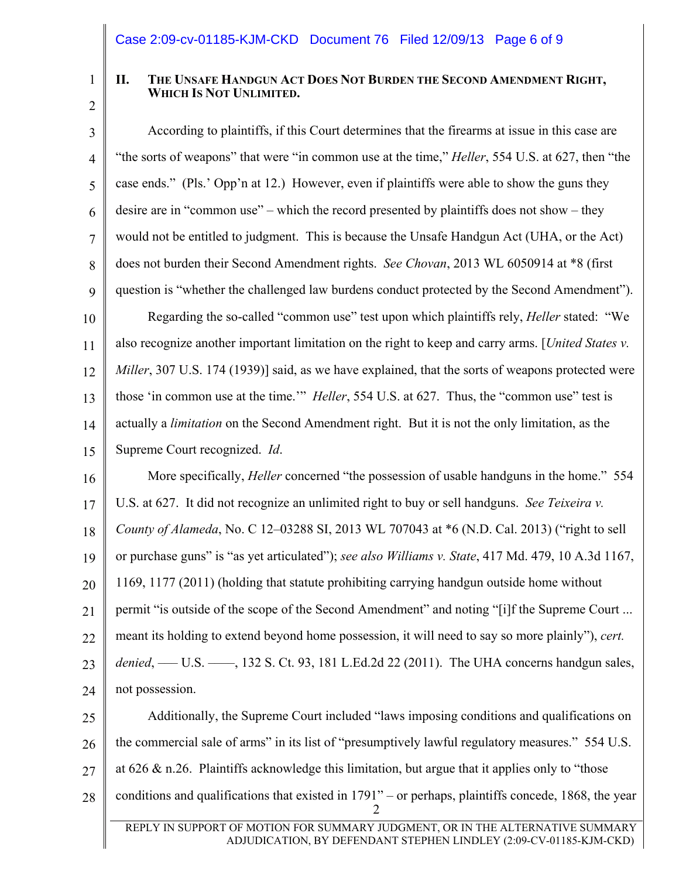1

## **II. THE UNSAFE HANDGUN ACT DOES NOT BURDEN THE SECOND AMENDMENT RIGHT, WHICH IS NOT UNLIMITED.**

2

4

5

6

7

8

9

11

3 10 According to plaintiffs, if this Court determines that the firearms at issue in this case are "the sorts of weapons" that were "in common use at the time," *Heller*, 554 U.S. at 627, then "the case ends." (Pls.' Opp'n at 12.) However, even if plaintiffs were able to show the guns they desire are in "common use" – which the record presented by plaintiffs does not show – they would not be entitled to judgment. This is because the Unsafe Handgun Act (UHA, or the Act) does not burden their Second Amendment rights. *See Chovan*, 2013 WL 6050914 at \*8 (first question is "whether the challenged law burdens conduct protected by the Second Amendment"). Regarding the so-called "common use" test upon which plaintiffs rely, *Heller* stated: "We also recognize another important limitation on the right to keep and carry arms. [*United States v.* 

12 13 14 15 *Miller*, 307 U.S. 174 (1939)] said, as we have explained, that the sorts of weapons protected were those 'in common use at the time.'" *Heller*, 554 U.S. at 627. Thus, the "common use" test is actually a *limitation* on the Second Amendment right. But it is not the only limitation, as the Supreme Court recognized. *Id*.

16 17 18 19 20 21 22 23 24 More specifically, *Heller* concerned "the possession of usable handguns in the home." 554 U.S. at 627. It did not recognize an unlimited right to buy or sell handguns. *See Teixeira v. County of Alameda*, No. C 12–03288 SI, 2013 WL 707043 at \*6 (N.D. Cal. 2013) ("right to sell or purchase guns" is "as yet articulated"); *see also Williams v. State*, 417 Md. 479, 10 A.3d 1167, 1169, 1177 (2011) (holding that statute prohibiting carrying handgun outside home without permit "is outside of the scope of the Second Amendment" and noting "[i]f the Supreme Court ... meant its holding to extend beyond home possession, it will need to say so more plainly"), *cert.*  denied, —— U.S. ——, 132 S. Ct. 93, 181 L.Ed.2d 22 (2011). The UHA concerns handgun sales, not possession.

25 26 27 28 າ Additionally, the Supreme Court included "laws imposing conditions and qualifications on the commercial sale of arms" in its list of "presumptively lawful regulatory measures." 554 U.S. at 626  $\&$  n.26. Plaintiffs acknowledge this limitation, but argue that it applies only to "those" conditions and qualifications that existed in 1791" – or perhaps, plaintiffs concede, 1868, the year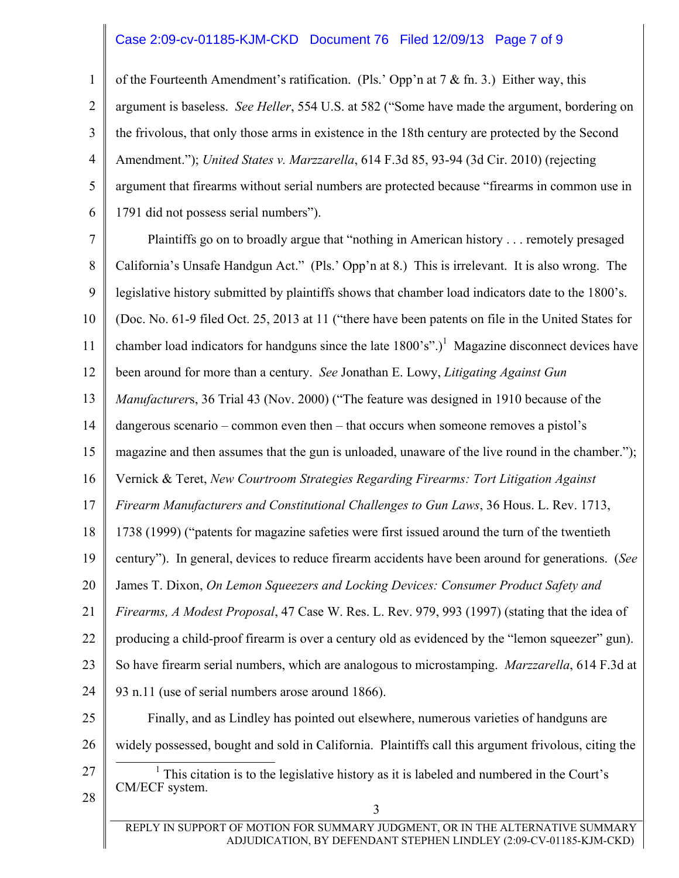## Case 2:09-cv-01185-KJM-CKD Document 76 Filed 12/09/13 Page 7 of 9

1 2 3 4 5 6 of the Fourteenth Amendment's ratification. (Pls.' Opp'n at  $7 \&$  fn. 3.) Either way, this argument is baseless. *See Heller*, 554 U.S. at 582 ("Some have made the argument, bordering on the frivolous, that only those arms in existence in the 18th century are protected by the Second Amendment."); *United States v. Marzzarella*, 614 F.3d 85, 93-94 (3d Cir. 2010) (rejecting argument that firearms without serial numbers are protected because "firearms in common use in 1791 did not possess serial numbers").

7 8 9 10 11 12 13 14 15 16 17 18 19 20 21 22 23 24 25 26 27 28 3 REPLY IN SUPPORT OF MOTION FOR SUMMARY JUDGMENT, OR IN THE ALTERNATIVE SUMMARY ADJUDICATION, BY DEFENDANT STEPHEN LINDLEY (2:09-CV-01185-KJM-CKD) Plaintiffs go on to broadly argue that "nothing in American history . . . remotely presaged California's Unsafe Handgun Act." (Pls.' Opp'n at 8.) This is irrelevant. It is also wrong. The legislative history submitted by plaintiffs shows that chamber load indicators date to the 1800's. (Doc. No. 61-9 filed Oct. 25, 2013 at 11 ("there have been patents on file in the United States for chamber load indicators for handguns since the late  $1800's$ ".)<sup>1</sup> Magazine disconnect devices have been around for more than a century. *See* Jonathan E. Lowy, *Litigating Against Gun Manufacturer*s, 36 Trial 43 (Nov. 2000) ("The feature was designed in 1910 because of the dangerous scenario – common even then – that occurs when someone removes a pistol's magazine and then assumes that the gun is unloaded, unaware of the live round in the chamber."); Vernick & Teret, *New Courtroom Strategies Regarding Firearms: Tort Litigation Against Firearm Manufacturers and Constitutional Challenges to Gun Laws*, 36 Hous. L. Rev. 1713, 1738 (1999) ("patents for magazine safeties were first issued around the turn of the twentieth century"). In general, devices to reduce firearm accidents have been around for generations. (*See* James T. Dixon, *On Lemon Squeezers and Locking Devices: Consumer Product Safety and Firearms, A Modest Proposal*, 47 Case W. Res. L. Rev. 979, 993 (1997) (stating that the idea of producing a child-proof firearm is over a century old as evidenced by the "lemon squeezer" gun). So have firearm serial numbers, which are analogous to microstamping. *Marzzarella*, 614 F.3d at 93 n.11 (use of serial numbers arose around 1866). Finally, and as Lindley has pointed out elsewhere, numerous varieties of handguns are widely possessed, bought and sold in California. Plaintiffs call this argument frivolous, citing the <u>1</u>  $<sup>1</sup>$  This citation is to the legislative history as it is labeled and numbered in the Court's</sup> CM/ECF system.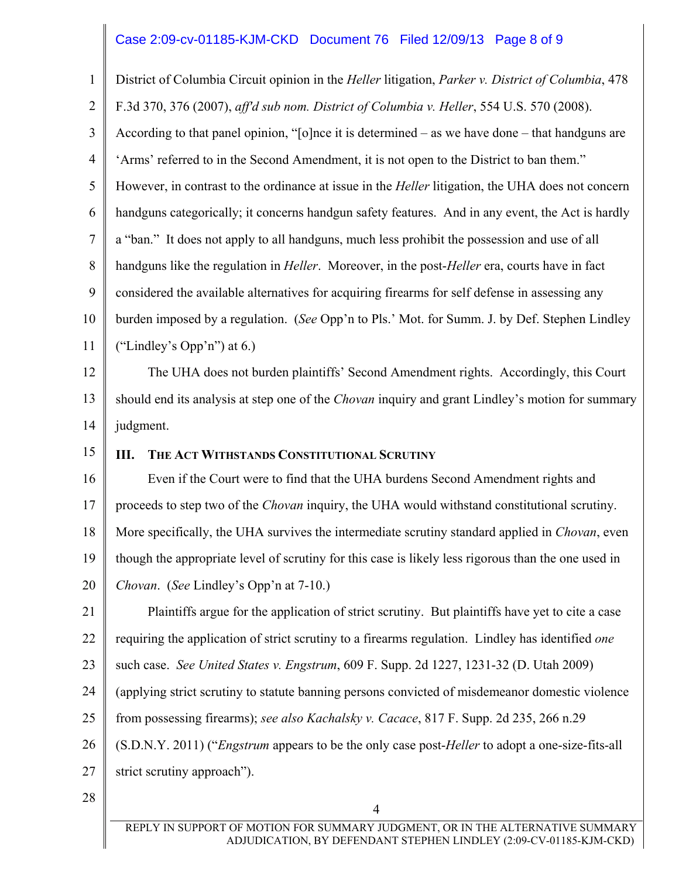## Case 2:09-cv-01185-KJM-CKD Document 76 Filed 12/09/13 Page 8 of 9

1 2 3 4 5 6 7 8 9 10 11 12 13 14 15 16 17 18 19 20 21 22 23 24 25 26 27 28 4 District of Columbia Circuit opinion in the *Heller* litigation, *Parker v. District of Columbia*, 478 F.3d 370, 376 (2007), *aff'd sub nom. District of Columbia v. Heller*, 554 U.S. 570 (2008). According to that panel opinion, "[o]nce it is determined – as we have done – that handguns are 'Arms' referred to in the Second Amendment, it is not open to the District to ban them." However, in contrast to the ordinance at issue in the *Heller* litigation, the UHA does not concern handguns categorically; it concerns handgun safety features. And in any event, the Act is hardly a "ban." It does not apply to all handguns, much less prohibit the possession and use of all handguns like the regulation in *Heller*. Moreover, in the post-*Heller* era, courts have in fact considered the available alternatives for acquiring firearms for self defense in assessing any burden imposed by a regulation. (*See* Opp'n to Pls.' Mot. for Summ. J. by Def. Stephen Lindley ("Lindley's Opp'n") at 6.) The UHA does not burden plaintiffs' Second Amendment rights. Accordingly, this Court should end its analysis at step one of the *Chovan* inquiry and grant Lindley's motion for summary judgment. **III. THE ACT WITHSTANDS CONSTITUTIONAL SCRUTINY** Even if the Court were to find that the UHA burdens Second Amendment rights and proceeds to step two of the *Chovan* inquiry, the UHA would withstand constitutional scrutiny. More specifically, the UHA survives the intermediate scrutiny standard applied in *Chovan*, even though the appropriate level of scrutiny for this case is likely less rigorous than the one used in *Chovan*. (*See* Lindley's Opp'n at 7-10.) Plaintiffs argue for the application of strict scrutiny. But plaintiffs have yet to cite a case requiring the application of strict scrutiny to a firearms regulation. Lindley has identified *one* such case. *See United States v. Engstrum*, 609 F. Supp. 2d 1227, 1231-32 (D. Utah 2009) (applying strict scrutiny to statute banning persons convicted of misdemeanor domestic violence from possessing firearms); *see also Kachalsky v. Cacace*, 817 F. Supp. 2d 235, 266 n.29 (S.D.N.Y. 2011) ("*Engstrum* appears to be the only case post-*Heller* to adopt a one-size-fits-all strict scrutiny approach").